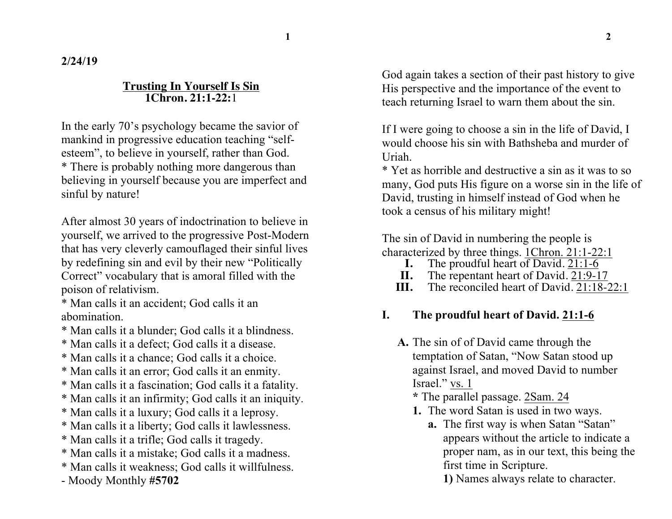**2/24/19**

#### **Trusting In Yourself Is Sin 1Chron. 21:1-22:**1

In the early 70's psychology became the savior of mankind in progressive education teaching "selfesteem", to believe in yourself, rather than God. \* There is probably nothing more dangerous than believing in yourself because you are imperfect and sinful by nature!

After almost 30 years of indoctrination to believe in yourself, we arrived to the progressive Post-Modern that has very cleverly camouflaged their sinful lives by redefining sin and evil by their new "Politically Correct" vocabulary that is amoral filled with the poison of relativism.

\* Man calls it an accident; God calls it an abomination.

- \* Man calls it a blunder; God calls it a blindness.
- \* Man calls it a defect; God calls it a disease.
- \* Man calls it a chance; God calls it a choice.
- \* Man calls it an error; God calls it an enmity.
- \* Man calls it a fascination; God calls it a fatality.
- \* Man calls it an infirmity; God calls it an iniquity.
- \* Man calls it a luxury; God calls it a leprosy.
- \* Man calls it a liberty; God calls it lawlessness.
- \* Man calls it a trifle; God calls it tragedy.
- \* Man calls it a mistake; God calls it a madness.
- \* Man calls it weakness; God calls it willfulness.
- Moody Monthly **#5702**

God again takes a section of their past history to give His perspective and the importance of the event to teach returning Israel to warn them about the sin.

If I were going to choose a sin in the life of David, I would choose his sin with Bathsheba and murder of Uriah.

\* Yet as horrible and destructive a sin as it was to so many, God puts His figure on a worse sin in the life of David, trusting in himself instead of God when he took a census of his military might!

The sin of David in numbering the people is characterized by three things. 1Chron. 21:1-22:1

- **I.** The proudful heart of David.  $21:1-6$ <br>**II.** The repentant heart of David.  $21:9-1$
- **II.** The repentant heart of David. 21:9-17<br>**III.** The reconciled heart of David. 21:18-2
- The reconciled heart of David. 21:18-22:1

# **I. The proudful heart of David. 21:1-6**

- **A.** The sin of of David came through the temptation of Satan, "Now Satan stood up against Israel, and moved David to number Israel." vs. 1
	- **\*** The parallel passage. 2Sam. 24
	- **1.** The word Satan is used in two ways.
		- **a.** The first way is when Satan "Satan" appears without the article to indicate a proper nam, as in our text, this being the first time in Scripture.
			- **1)** Names always relate to character.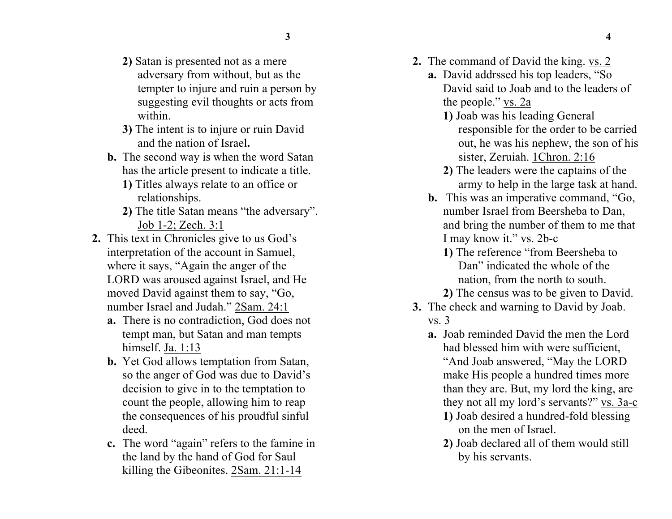- 
- **2)** Satan is presented not as a mere adversary from without, but as the tempter to injure and ruin a person by suggesting evil thoughts or acts from within.
- **3)** The intent is to injure or ruin David and the nation of Israel**.**
- **b.** The second way is when the word Satan has the article present to indicate a title.
	- **1)** Titles always relate to an office or relationships.
	- **2)** The title Satan means "the adversary". Job 1-2; Zech. 3:1
- **2.** This text in Chronicles give to us God's interpretation of the account in Samuel, where it says, "Again the anger of the LORD was aroused against Israel, and He moved David against them to say, "Go, number Israel and Judah." 2Sam. 24:1
	- **a.** There is no contradiction, God does not tempt man, but Satan and man tempts himself. Ja. 1:13
	- **b.** Yet God allows temptation from Satan, so the anger of God was due to David's decision to give in to the temptation to count the people, allowing him to reap the consequences of his proudful sinful deed.
	- **c.** The word "again" refers to the famine in the land by the hand of God for Saul killing the Gibeonites. 2Sam. 21:1-14
- **2.** The command of David the king. vs. 2
	- **a.** David addrssed his top leaders, "So David said to Joab and to the leaders of the people." vs. 2a
		- **1)** Joab was his leading General responsible for the order to be carried out, he was his nephew, the son of his sister, Zeruiah. 1Chron. 2:16
		- **2)** The leaders were the captains of the army to help in the large task at hand.
	- **b.** This was an imperative command, "Go, number Israel from Beersheba to Dan, and bring the number of them to me that I may know it." vs. 2b-c
		- **1)** The reference "from Beersheba to Dan" indicated the whole of the nation, from the north to south.
		- **2)** The census was to be given to David.
- **3.** The check and warning to David by Joab. vs. 3
	- **a.** Joab reminded David the men the Lord had blessed him with were sufficient, "And Joab answered, "May the LORD make His people a hundred times more than they are. But, my lord the king, are they not all my lord's servants?" vs. 3a-c
		- **1)** Joab desired a hundred-fold blessing on the men of Israel.
		- **2)** Joab declared all of them would still by his servants.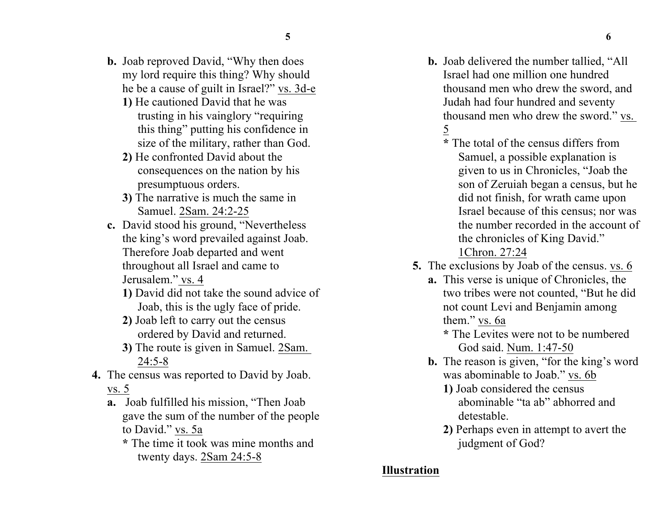- **5 6**
- **b.** Joab reproved David, "Why then does my lord require this thing? Why should he be a cause of guilt in Israel?" vs. 3d-e
	- **1)** He cautioned David that he was trusting in his vainglory "requiring this thing" putting his confidence in size of the military, rather than God.
	- **2)** He confronted David about the consequences on the nation by his presumptuous orders.
	- **3)** The narrative is much the same in Samuel. 2Sam. 24:2-25
- **c.** David stood his ground, "Nevertheless the king's word prevailed against Joab. Therefore Joab departed and went throughout all Israel and came to Jerusalem." vs. 4
	- **1)** David did not take the sound advice of Joab, this is the ugly face of pride.
	- **2)** Joab left to carry out the census ordered by David and returned.
	- **3)** The route is given in Samuel. 2Sam. 24:5-8
- **4.** The census was reported to David by Joab. vs. 5
	- **a.** Joab fulfilled his mission, "Then Joab gave the sum of the number of the people to David." vs. 5a
		- **\*** The time it took was mine months and twenty days. 2Sam 24:5-8
- **b.** Joab delivered the number tallied, "All Israel had one million one hundred thousand men who drew the sword, and Judah had four hundred and seventy thousand men who drew the sword." vs. 5
	- **\*** The total of the census differs from Samuel, a possible explanation is given to us in Chronicles, "Joab the son of Zeruiah began a census, but he did not finish, for wrath came upon Israel because of this census; nor was the number recorded in the account of the chronicles of King David."
		- 1Chron. 27:24
- **5.** The exclusions by Joab of the census. vs. 6
	- **a.** This verse is unique of Chronicles, the two tribes were not counted, "But he did not count Levi and Benjamin among them." vs. 6a
		- **\*** The Levites were not to be numbered God said. Num. 1:47-50
	- **b.** The reason is given, "for the king's word was abominable to Joab." vs. 6b
		- **1)** Joab considered the census abominable "ta ab" abhorred and detestable.
		- **2)** Perhaps even in attempt to avert the judgment of God?

### **Illustration**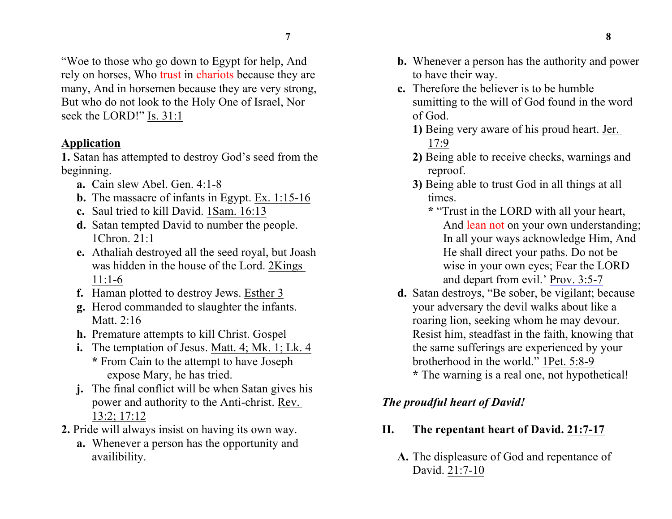"Woe to those who go down to Egypt for help, And rely on horses, Who trust in chariots because they are many, And in horsemen because they are very strong, But who do not look to the Holy One of Israel, Nor seek the LORD!" Is. 31:1

### **Application**

**1.** Satan has attempted to destroy God's seed from the beginning.

- **a.** Cain slew Abel. Gen. 4:1-8
- **b.** The massacre of infants in Egypt. Ex. 1:15-16
- **c.** Saul tried to kill David. 1Sam. 16:13
- **d.** Satan tempted David to number the people. 1Chron. 21:1
- **e.** Athaliah destroyed all the seed royal, but Joash was hidden in the house of the Lord. 2Kings 11:1-6
- **f.** Haman plotted to destroy Jews. Esther 3
- **g.** Herod commanded to slaughter the infants. Matt. 2:16
- **h.** Premature attempts to kill Christ. Gospel
- **i.** The temptation of Jesus. Matt. 4; Mk. 1; Lk. 4 **\*** From Cain to the attempt to have Joseph expose Mary, he has tried.
- **j.** The final conflict will be when Satan gives his power and authority to the Anti-christ. Rev. 13:2; 17:12
- **2.** Pride will always insist on having its own way.
	- **a.** Whenever a person has the opportunity and availibility.
- **b.** Whenever a person has the authority and power to have their way.
- **c.** Therefore the believer is to be humble sumitting to the will of God found in the word of God.
	- **1)** Being very aware of his proud heart. Jer. 17:9
	- **2)** Being able to receive checks, warnings and reproof.
	- **3)** Being able to trust God in all things at all times.
		- **\*** "Trust in the LORD with all your heart, And lean not on your own understanding; In all your ways acknowledge Him, And He shall direct your paths. Do not be wise in your own eyes; Fear the LORD and depart from evil.' Prov. 3:5-7
- **d.** Satan destroys, "Be sober, be vigilant; because your adversary the devil walks about like a roaring lion, seeking whom he may devour. Resist him, steadfast in the faith, knowing that the same sufferings are experienced by your brotherhood in the world." 1Pet. 5:8-9 **\*** The warning is a real one, not hypothetical!

## *The proudful heart of David!*

#### **II. The repentant heart of David. 21:7-17**

**A.** The displeasure of God and repentance of David. 21:7-10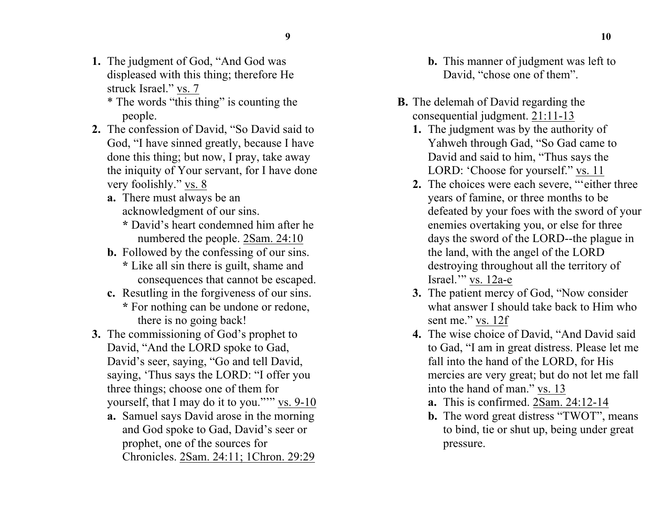- 
- **1.** The judgment of God, "And God was displeased with this thing; therefore He struck Israel." vs. 7
	- \* The words "this thing" is counting the people.
- **2.** The confession of David, "So David said to God, "I have sinned greatly, because I have done this thing; but now, I pray, take away the iniquity of Your servant, for I have done very foolishly." vs. 8
	- **a.** There must always be an acknowledgment of our sins.
		- **\*** David's heart condemned him after he numbered the people. 2Sam. 24:10
	- **b.** Followed by the confessing of our sins. **\*** Like all sin there is guilt, shame and
		- consequences that cannot be escaped.
	- **c.** Resutling in the forgiveness of our sins. **\*** For nothing can be undone or redone, there is no going back!
- **3.** The commissioning of God's prophet to David, "And the LORD spoke to Gad, David's seer, saying, "Go and tell David, saying, 'Thus says the LORD: "I offer you three things; choose one of them for yourself, that I may do it to you."'" vs. 9-10
	- **a.** Samuel says David arose in the morning and God spoke to Gad, David's seer or prophet, one of the sources for Chronicles. 2Sam. 24:11; 1Chron. 29:29
- **b.** This manner of judgment was left to David, "chose one of them".
- **B.** The delemah of David regarding the consequential judgment. 21:11-13
	- **1.** The judgment was by the authority of Yahweh through Gad, "So Gad came to David and said to him, "Thus says the LORD: 'Choose for yourself.'' vs. 11
	- **2.** The choices were each severe, "'either three years of famine, or three months to be defeated by your foes with the sword of your enemies overtaking you, or else for three days the sword of the LORD--the plague in the land, with the angel of the LORD destroying throughout all the territory of Israel.'" vs. 12a-e
	- **3.** The patient mercy of God, "Now consider what answer I should take back to Him who sent me." vs. 12f
	- **4.** The wise choice of David, "And David said to Gad, "I am in great distress. Please let me fall into the hand of the LORD, for His mercies are very great; but do not let me fall into the hand of man." vs. 13
		- **a.** This is confirmed. 2Sam. 24:12-14
		- **b.** The word great distress "TWOT", means to bind, tie or shut up, being under great pressure.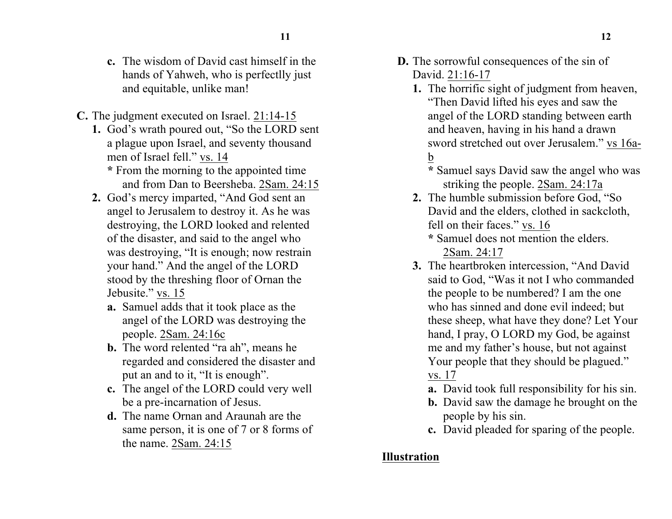- **11 12**
- **c.** The wisdom of David cast himself in the hands of Yahweh, who is perfectlly just and equitable, unlike man!
- **C.** The judgment executed on Israel. 21:14-15
	- **1.** God's wrath poured out, "So the LORD sent a plague upon Israel, and seventy thousand men of Israel fell." vs. 14 **\*** From the morning to the appointed time

and from Dan to Beersheba. 2Sam. 24:15

- **2.** God's mercy imparted, "And God sent an angel to Jerusalem to destroy it. As he was destroying, the LORD looked and relented of the disaster, and said to the angel who was destroying, "It is enough; now restrain your hand." And the angel of the LORD stood by the threshing floor of Ornan the Jebusite." vs. 15
	- **a.** Samuel adds that it took place as the angel of the LORD was destroying the people. 2Sam. 24:16c
	- **b.** The word relented "ra ah", means he regarded and considered the disaster and put an and to it, "It is enough".
	- **c.** The angel of the LORD could very well be a pre-incarnation of Jesus.
	- **d.** The name Ornan and Araunah are the same person, it is one of 7 or 8 forms of the name. 2Sam. 24:15
- **D.** The sorrowful consequences of the sin of David. 21:16-17
	- **1.** The horrific sight of judgment from heaven, "Then David lifted his eyes and saw the angel of the LORD standing between earth and heaven, having in his hand a drawn sword stretched out over Jerusalem." vs 16ab

**\*** Samuel says David saw the angel who was striking the people. 2Sam. 24:17a

- **2.** The humble submission before God, "So David and the elders, clothed in sackcloth, fell on their faces." vs. 16
	- **\*** Samuel does not mention the elders. 2Sam. 24:17
- **3.** The heartbroken intercession, "And David said to God, "Was it not I who commanded the people to be numbered? I am the one who has sinned and done evil indeed; but these sheep, what have they done? Let Your hand, I pray, O LORD my God, be against me and my father's house, but not against Your people that they should be plagued." vs. 17
	- **a.** David took full responsibility for his sin.
	- **b.** David saw the damage he brought on the people by his sin.
	- **c.** David pleaded for sparing of the people.

# **Illustration**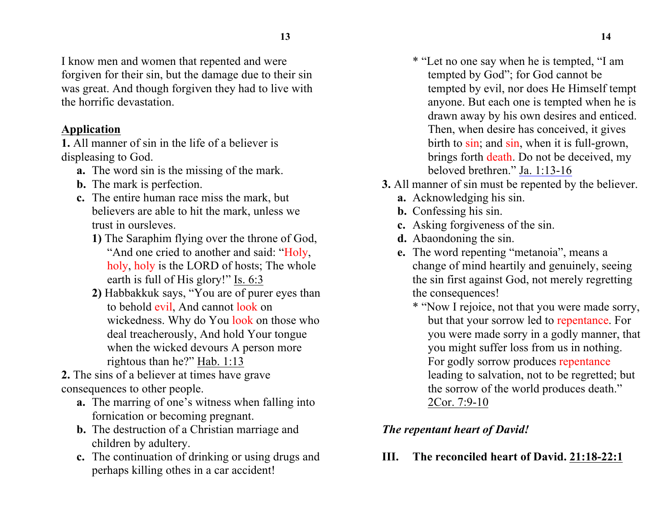I know men and women that repented and were forgiven for their sin, but the damage due to their sin was great. And though forgiven they had to live with the horrific devastation.

### **Application**

**1.** All manner of sin in the life of a believer is displeasing to God.

- **a.** The word sin is the missing of the mark.
- **b.** The mark is perfection.
- **c.** The entire human race miss the mark, but believers are able to hit the mark, unless we trust in oursleves.
	- **1)** The Saraphim flying over the throne of God, "And one cried to another and said: "Holy, holy, holy is the LORD of hosts; The whole earth is full of His glory!" Is. 6:3
	- **2)** Habbakkuk says, "You are of purer eyes than to behold evil, And cannot look on wickedness. Why do You look on those who deal treacherously, And hold Your tongue when the wicked devours A person more rightous than he?" Hab. 1:13
- **2.** The sins of a believer at times have grave consequences to other people.
	- **a.** The marring of one's witness when falling into fornication or becoming pregnant.
	- **b.** The destruction of a Christian marriage and children by adultery.
	- **c.** The continuation of drinking or using drugs and perhaps killing othes in a car accident!
- \* "Let no one say when he is tempted, "I am tempted by God"; for God cannot be tempted by evil, nor does He Himself tempt anyone. But each one is tempted when he is drawn away by his own desires and enticed. Then, when desire has conceived, it gives birth to sin; and sin, when it is full-grown, brings forth death. Do not be deceived, my beloved brethren." Ja. 1:13-16
- **3.** All manner of sin must be repented by the believer.
	- **a.** Acknowledging his sin.
	- **b.** Confessing his sin.
	- **c.** Asking forgiveness of the sin.
	- **d.** Abaondoning the sin.
	- **e.** The word repenting "metanoia", means a change of mind heartily and genuinely, seeing the sin first against God, not merely regretting the consequences!
		- \* "Now I rejoice, not that you were made sorry, but that your sorrow led to repentance. For you were made sorry in a godly manner, that you might suffer loss from us in nothing. For godly sorrow produces repentance leading to salvation, not to be regretted; but the sorrow of the world produces death." 2Cor. 7:9-10

# *The repentant heart of David!*

**III. The reconciled heart of David. 21:18-22:1**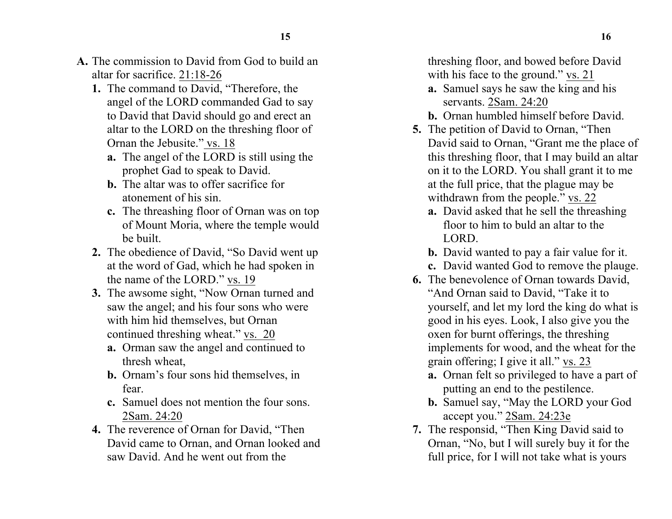- **A.** The commission to David from God to build an altar for sacrifice. 21:18-26
	- **1.** The command to David, "Therefore, the angel of the LORD commanded Gad to say to David that David should go and erect an altar to the LORD on the threshing floor of Ornan the Jebusite." vs. 18
		- **a.** The angel of the LORD is still using the prophet Gad to speak to David.
		- **b.** The altar was to offer sacrifice for atonement of his sin.
		- **c.** The threashing floor of Ornan was on top of Mount Moria, where the temple would be built.
	- **2.** The obedience of David, "So David went up at the word of Gad, which he had spoken in the name of the LORD." vs. 19
	- **3.** The awsome sight, "Now Ornan turned and saw the angel; and his four sons who were with him hid themselves, but Ornan continued threshing wheat." vs. 20
		- **a.** Orman saw the angel and continued to thresh wheat,
		- **b.** Ornam's four sons hid themselves, in fear.
		- **c.** Samuel does not mention the four sons. 2Sam. 24:20
	- **4.** The reverence of Ornan for David, "Then David came to Ornan, and Ornan looked and saw David. And he went out from the

threshing floor, and bowed before David with his face to the ground." vs. 21

- **a.** Samuel says he saw the king and his servants. 2Sam. 24:20
- **b.** Ornan humbled himself before David.
- **5.** The petition of David to Ornan, "Then David said to Ornan, "Grant me the place of this threshing floor, that I may build an altar on it to the LORD. You shall grant it to me at the full price, that the plague may be withdrawn from the people." vs. 22
	- **a.** David asked that he sell the threashing floor to him to buld an altar to the LORD.
	- **b.** David wanted to pay a fair value for it.
	- **c.** David wanted God to remove the plauge.
- **6.** The benevolence of Ornan towards David, "And Ornan said to David, "Take it to yourself, and let my lord the king do what is good in his eyes. Look, I also give you the oxen for burnt offerings, the threshing implements for wood, and the wheat for the grain offering; I give it all." vs. 23
	- **a.** Ornan felt so privileged to have a part of putting an end to the pestilence.
	- **b.** Samuel say, "May the LORD your God accept you." 2Sam. 24:23e
- **7.** The responsid, "Then King David said to Ornan, "No, but I will surely buy it for the full price, for I will not take what is yours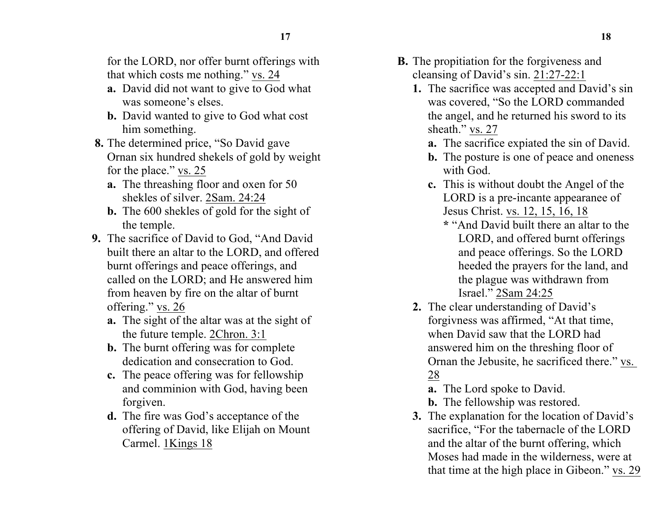for the LORD, nor offer burnt offerings with that which costs me nothing." vs. 24

- **a.** David did not want to give to God what was someone's elses.
- **b.** David wanted to give to God what cost him something.
- **8.** The determined price, "So David gave Ornan six hundred shekels of gold by weight for the place." vs. 25
	- **a.** The threashing floor and oxen for 50 shekles of silver. 2Sam. 24:24
	- **b.** The 600 shekles of gold for the sight of the temple.
- **9.** The sacrifice of David to God, "And David built there an altar to the LORD, and offered burnt offerings and peace offerings, and called on the LORD; and He answered him from heaven by fire on the altar of burnt offering." vs. 26
	- **a.** The sight of the altar was at the sight of the future temple. 2Chron. 3:1
	- **b.** The burnt offering was for complete dedication and consecration to God.
	- **c.** The peace offering was for fellowship and comminion with God, having been forgiven.
	- **d.** The fire was God's acceptance of the offering of David, like Elijah on Mount Carmel. 1Kings 18
- **B.** The propitiation for the forgiveness and cleansing of David's sin. 21:27-22:1
	- **1.** The sacrifice was accepted and David's sin was covered, "So the LORD commanded the angel, and he returned his sword to its sheath." vs. 27
		- **a.** The sacrifice expiated the sin of David.
		- **b.** The posture is one of peace and oneness with God.
		- **c.** This is without doubt the Angel of the LORD is a pre-incante appearanee of Jesus Christ. vs. 12, 15, 16, 18
			- **\*** "And David built there an altar to the LORD, and offered burnt offerings and peace offerings. So the LORD heeded the prayers for the land, and the plague was withdrawn from Israel." 2Sam 24:25
	- **2.** The clear understanding of David's forgivness was affirmed, "At that time, when David saw that the LORD had answered him on the threshing floor of Ornan the Jebusite, he sacrificed there." vs. 28
		- **a.** The Lord spoke to David.
		- **b.** The fellowship was restored.
	- **3.** The explanation for the location of David's sacrifice, "For the tabernacle of the LORD and the altar of the burnt offering, which Moses had made in the wilderness, were at that time at the high place in Gibeon." vs. 29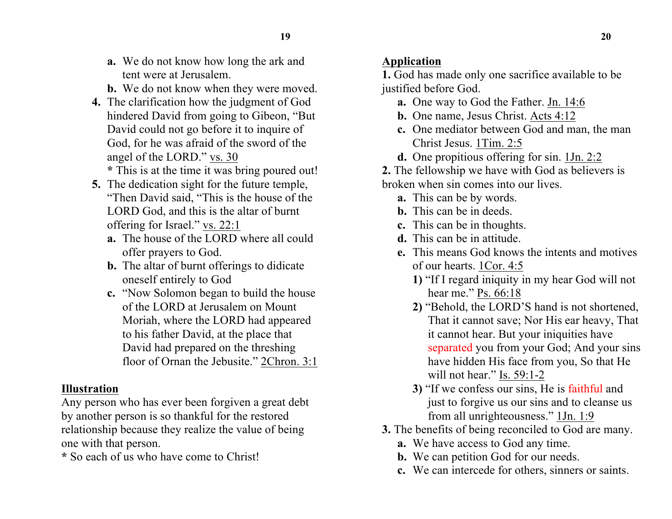- **a.** We do not know how long the ark and tent were at Jerusalem.
- **b.** We do not know when they were moved.
- **4.** The clarification how the judgment of God hindered David from going to Gibeon, "But David could not go before it to inquire of God, for he was afraid of the sword of the angel of the LORD." vs. 30 **\*** This is at the time it was bring poured out!
- **5.** The dedication sight for the future temple, "Then David said, "This is the house of the LORD God, and this is the altar of burnt offering for Israel." vs. 22:1
	- **a.** The house of the LORD where all could offer prayers to God.
	- **b.** The altar of burnt offerings to didicate oneself entirely to God
	- **c.** "Now Solomon began to build the house of the LORD at Jerusalem on Mount Moriah, where the LORD had appeared to his father David, at the place that David had prepared on the threshing floor of Ornan the Jebusite." 2Chron. 3:1

## **Illustration**

Any person who has ever been forgiven a great debt by another person is so thankful for the restored relationship because they realize the value of being one with that person.

**\*** So each of us who have come to Christ!

## **Application**

**1.** God has made only one sacrifice available to be justified before God.

- **a.** One way to God the Father. Jn. 14:6
- **b.** One name, Jesus Christ. Acts 4:12
- **c.** One mediator between God and man, the man Christ Jesus. 1Tim. 2:5
- **d.** One propitious offering for sin. 1Jn. 2:2

**2.** The fellowship we have with God as believers is broken when sin comes into our lives.

- **a.** This can be by words.
- **b.** This can be in deeds.
- **c.** This can be in thoughts.
- **d.** This can be in attitude.
- **e.** This means God knows the intents and motives of our hearts. 1Cor. 4:5
	- **1)** "If I regard iniquity in my hear God will not hear me." Ps. 66:18
	- **2)** "Behold, the LORD'S hand is not shortened, That it cannot save; Nor His ear heavy, That it cannot hear. But your iniquities have separated you from your God; And your sins have hidden His face from you, So that He will not hear." Is. 59:1-2
	- **3)** "If we confess our sins, He is faithful and just to forgive us our sins and to cleanse us from all unrighteousness." 1Jn. 1:9
- **3.** The benefits of being reconciled to God are many.
	- **a.** We have access to God any time.
	- **b.** We can petition God for our needs.
	- **c.** We can intercede for others, sinners or saints.